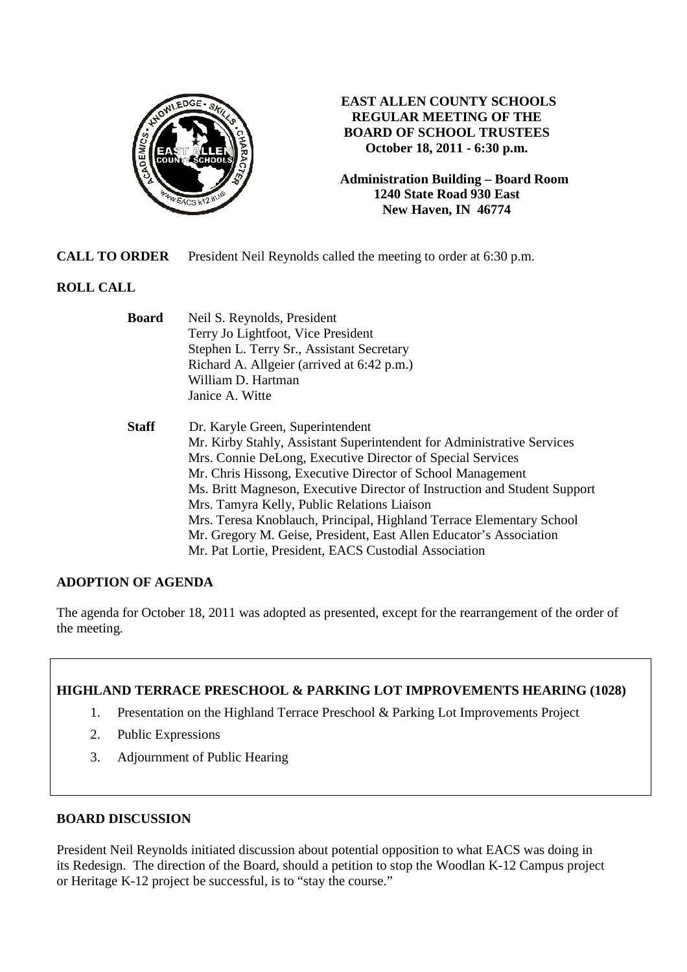

## **EAST ALLEN COUNTY SCHOOLS REGULAR MEETING OF THE BOARD OF SCHOOL TRUSTEES October 18, 2011 - 6:30 p.m.**

**Administration Building – Board Room 1240 State Road 930 East New Haven, IN 46774**

**CALL TO ORDER** President Neil Reynolds called the meeting to order at 6:30 p.m.

# **ROLL CALL**

| <b>Board</b> | Neil S. Reynolds, President                                               |  |
|--------------|---------------------------------------------------------------------------|--|
|              | Terry Jo Lightfoot, Vice President                                        |  |
|              | Stephen L. Terry Sr., Assistant Secretary                                 |  |
|              | Richard A. Allgeier (arrived at 6:42 p.m.)                                |  |
|              | William D. Hartman                                                        |  |
|              | Janice A. Witte                                                           |  |
| <b>Staff</b> | Dr. Karyle Green, Superintendent                                          |  |
|              | Mr. Kirby Stahly, Assistant Superintendent for Administrative Services    |  |
|              | Mrs. Connie DeLong, Executive Director of Special Services                |  |
|              | Mr. Chris Hissong, Executive Director of School Management                |  |
|              | Ms. Britt Magneson, Executive Director of Instruction and Student Support |  |
|              | Mrs. Tamyra Kelly, Public Relations Liaison                               |  |
|              | Mrs. Teresa Knoblauch, Principal, Highland Terrace Elementary School      |  |
|              | Mr. Gregory M. Geise, President, East Allen Educator's Association        |  |
|              | Mr. Pat Lortie, President, EACS Custodial Association                     |  |

### **ADOPTION OF AGENDA**

The agenda for October 18, 2011 was adopted as presented, except for the rearrangement of the order of the meeting.

### **HIGHLAND TERRACE PRESCHOOL & PARKING LOT IMPROVEMENTS HEARING (1028)**

- 1. Presentation on the Highland Terrace Preschool & Parking Lot Improvements Project
- 2. Public Expressions
- 3. Adjournment of Public Hearing

### **BOARD DISCUSSION**

President Neil Reynolds initiated discussion about potential opposition to what EACS was doing in its Redesign. The direction of the Board, should a petition to stop the Woodlan K-12 Campus project or Heritage K-12 project be successful, is to "stay the course."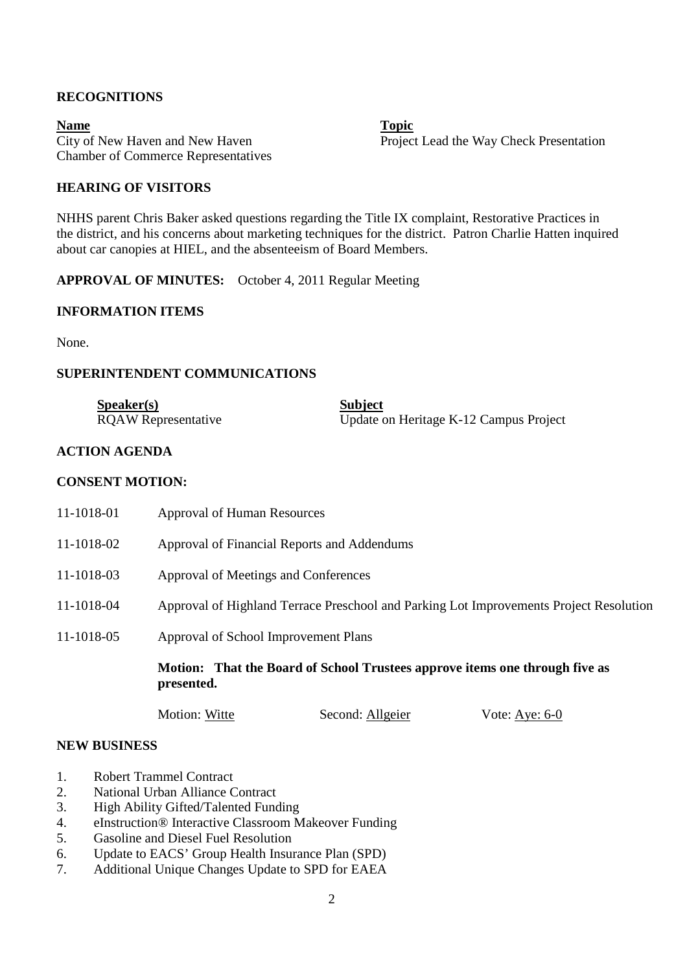## **RECOGNITIONS**

**Name** Topic **Name** Chamber of Commerce Representatives

City of New Haven and New Haven **Project Lead the Way Check Presentation** 

## **HEARING OF VISITORS**

NHHS parent Chris Baker asked questions regarding the Title IX complaint, Restorative Practices in the district, and his concerns about marketing techniques for the district. Patron Charlie Hatten inquired about car canopies at HIEL, and the absenteeism of Board Members.

**APPROVAL OF MINUTES:** October 4, 2011 Regular Meeting

### **INFORMATION ITEMS**

None.

### **SUPERINTENDENT COMMUNICATIONS**

| S <sub>p</sub> e <sub>aker(s)</sub> | <b>Subject</b>                         |
|-------------------------------------|----------------------------------------|
| <b>RQAW</b> Representative          | Update on Heritage K-12 Campus Project |

## **ACTION AGENDA**

### **CONSENT MOTION:**

|            | Motion: That the Board of School Trustees approve items one through five as<br>presented. |
|------------|-------------------------------------------------------------------------------------------|
| 11-1018-05 | Approval of School Improvement Plans                                                      |
| 11-1018-04 | Approval of Highland Terrace Preschool and Parking Lot Improvements Project Resolution    |
| 11-1018-03 | Approval of Meetings and Conferences                                                      |
| 11-1018-02 | Approval of Financial Reports and Addendums                                               |
| 11-1018-01 | <b>Approval of Human Resources</b>                                                        |

Motion: Witte Second: Allgeier Vote: Aye: 6-0

#### **NEW BUSINESS**

- 1. Robert Trammel Contract
- 2. National Urban Alliance Contract
- 3. High Ability Gifted/Talented Funding
- 4. eInstruction® Interactive Classroom Makeover Funding
- 5. Gasoline and Diesel Fuel Resolution
- 6. Update to EACS' Group Health Insurance Plan (SPD)
- 7. Additional Unique Changes Update to SPD for EAEA